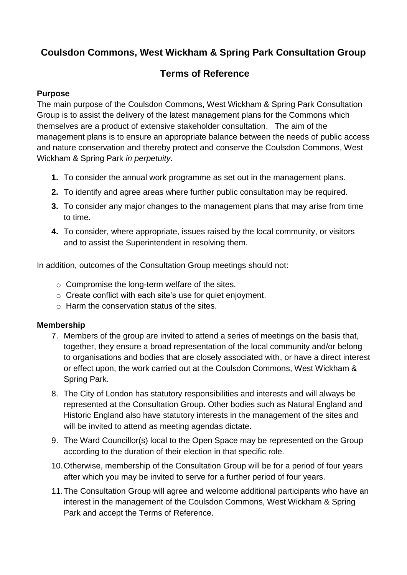# **Coulsdon Commons, West Wickham & Spring Park Consultation Group**

## **Terms of Reference**

### **Purpose**

The main purpose of the Coulsdon Commons, West Wickham & Spring Park Consultation Group is to assist the delivery of the latest management plans for the Commons which themselves are a product of extensive stakeholder consultation. The aim of the management plans is to ensure an appropriate balance between the needs of public access and nature conservation and thereby protect and conserve the Coulsdon Commons, West Wickham & Spring Park *in perpetuity*.

- **1.** To consider the annual work programme as set out in the management plans.
- **2.** To identify and agree areas where further public consultation may be required.
- **3.** To consider any major changes to the management plans that may arise from time to time.
- **4.** To consider, where appropriate, issues raised by the local community, or visitors and to assist the Superintendent in resolving them.

In addition, outcomes of the Consultation Group meetings should not:

- o Compromise the long-term welfare of the sites.
- o Create conflict with each site's use for quiet enjoyment.
- $\circ$  Harm the conservation status of the sites.

#### **Membership**

- 7. Members of the group are invited to attend a series of meetings on the basis that, together, they ensure a broad representation of the local community and/or belong to organisations and bodies that are closely associated with, or have a direct interest or effect upon, the work carried out at the Coulsdon Commons, West Wickham & Spring Park.
- 8. The City of London has statutory responsibilities and interests and will always be represented at the Consultation Group. Other bodies such as Natural England and Historic England also have statutory interests in the management of the sites and will be invited to attend as meeting agendas dictate.
- 9. The Ward Councillor(s) local to the Open Space may be represented on the Group according to the duration of their election in that specific role.
- 10.Otherwise, membership of the Consultation Group will be for a period of four years after which you may be invited to serve for a further period of four years.
- 11.The Consultation Group will agree and welcome additional participants who have an interest in the management of the Coulsdon Commons, West Wickham & Spring Park and accept the Terms of Reference.